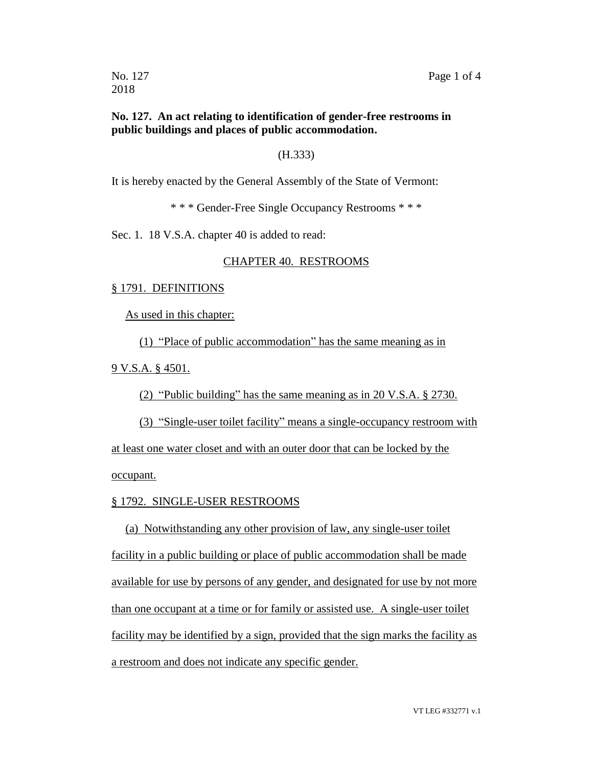2018

### **No. 127. An act relating to identification of gender-free restrooms in public buildings and places of public accommodation.**

#### (H.333)

It is hereby enacted by the General Assembly of the State of Vermont:

\* \* \* Gender-Free Single Occupancy Restrooms \* \* \*

Sec. 1. 18 V.S.A. chapter 40 is added to read:

### CHAPTER 40. RESTROOMS

#### § 1791. DEFINITIONS

As used in this chapter:

(1) "Place of public accommodation" has the same meaning as in

9 V.S.A. § 4501.

(2) "Public building" has the same meaning as in 20 V.S.A. § 2730.

(3) "Single-user toilet facility" means a single-occupancy restroom with at least one water closet and with an outer door that can be locked by the

occupant.

#### § 1792. SINGLE-USER RESTROOMS

(a) Notwithstanding any other provision of law, any single-user toilet facility in a public building or place of public accommodation shall be made available for use by persons of any gender, and designated for use by not more than one occupant at a time or for family or assisted use. A single-user toilet facility may be identified by a sign, provided that the sign marks the facility as a restroom and does not indicate any specific gender.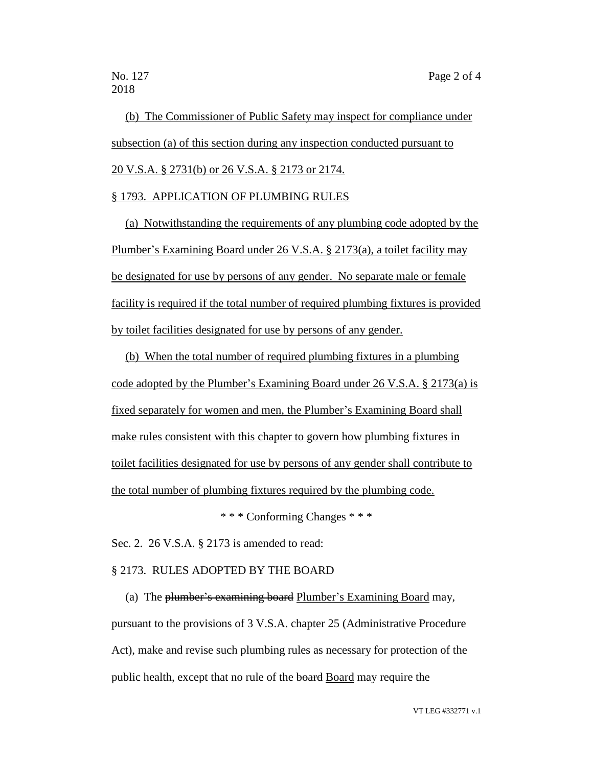(b) The Commissioner of Public Safety may inspect for compliance under subsection (a) of this section during any inspection conducted pursuant to 20 V.S.A. § 2731(b) or 26 V.S.A. § 2173 or 2174.

## § 1793. APPLICATION OF PLUMBING RULES

(a) Notwithstanding the requirements of any plumbing code adopted by the Plumber's Examining Board under 26 V.S.A. § 2173(a), a toilet facility may be designated for use by persons of any gender. No separate male or female facility is required if the total number of required plumbing fixtures is provided by toilet facilities designated for use by persons of any gender.

(b) When the total number of required plumbing fixtures in a plumbing code adopted by the Plumber's Examining Board under 26 V.S.A. § 2173(a) is fixed separately for women and men, the Plumber's Examining Board shall make rules consistent with this chapter to govern how plumbing fixtures in toilet facilities designated for use by persons of any gender shall contribute to the total number of plumbing fixtures required by the plumbing code.

\* \* \* Conforming Changes \* \* \*

Sec. 2. 26 V.S.A. § 2173 is amended to read:

## § 2173. RULES ADOPTED BY THE BOARD

(a) The plumber's examining board Plumber's Examining Board may, pursuant to the provisions of 3 V.S.A. chapter 25 (Administrative Procedure Act), make and revise such plumbing rules as necessary for protection of the public health, except that no rule of the board Board may require the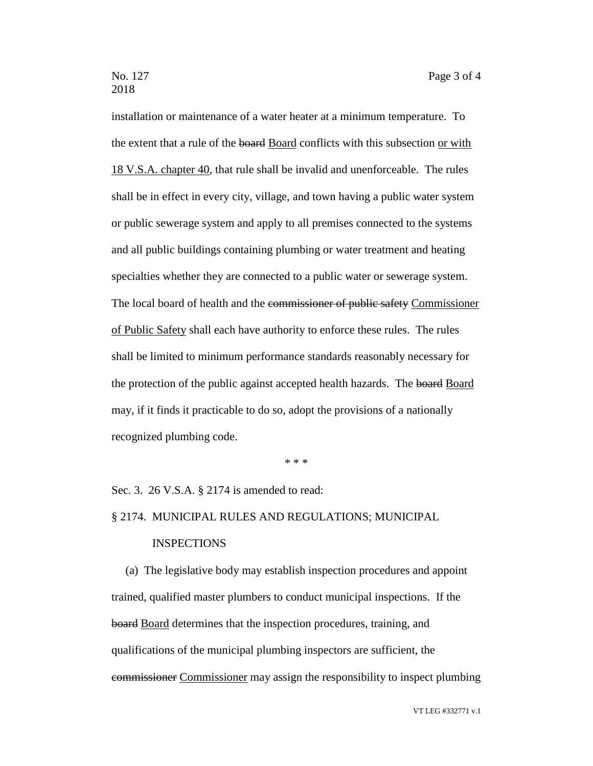installation or maintenance of a water heater at a minimum temperature. To the extent that a rule of the board Board conflicts with this subsection or with 18 V.S.A. chapter 40, that rule shall be invalid and unenforceable. The rules shall be in effect in every city, village, and town having a public water system or public sewerage system and apply to all premises connected to the systems and all public buildings containing plumbing or water treatment and heating specialties whether they are connected to a public water or sewerage system. The local board of health and the commissioner of public safety Commissioner of Public Safety shall each have authority to enforce these rules. The rules shall be limited to minimum performance standards reasonably necessary for the protection of the public against accepted health hazards. The board Board may, if it finds it practicable to do so, adopt the provisions of a nationally recognized plumbing code.

\* \* \*

Sec. 3. 26 V.S.A. § 2174 is amended to read:

# § 2174. MUNICIPAL RULES AND REGULATIONS; MUNICIPAL

## INSPECTIONS

(a) The legislative body may establish inspection procedures and appoint trained, qualified master plumbers to conduct municipal inspections. If the board Board determines that the inspection procedures, training, and qualifications of the municipal plumbing inspectors are sufficient, the commissioner Commissioner may assign the responsibility to inspect plumbing

VT LEG #332771 v.1